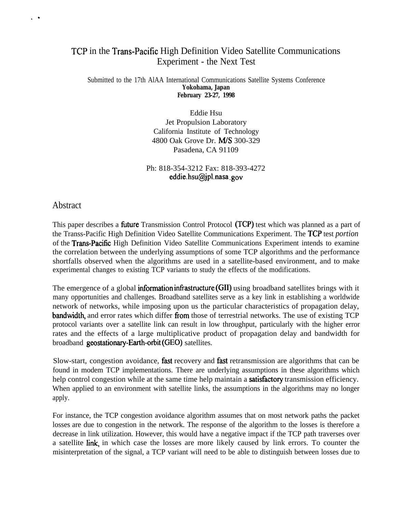## TCP in the Trans-Pacific High Definition Video Satellite Communications Experiment - the Next Test

## Submitted to the 17th AlAA International Communications Satellite Systems Conference **Yokohama, Japan February 23-27, 1998**

Eddie Hsu Jet Propulsion Laboratory California Institute of Technology 4800 Oak Grove Dr. M/S 300-329 Pasadena, CA 91109

Ph: 818-354-3212 Fax: 818-393-4272 eddie.hsu@jpl.nasa .gov

## Abstract

 $\ddot{\phantom{0}}$ 

This paper describes a **future** Transmission Control Protocol (TCP) test which was planned as a part of the Transs-Pacific High Definition Video Satellite Communications Experiment. The TCP test *portion* of the Trans-Pacific High Definition Video Satellite Communications Experiment intends to examine the correlation between the underlying assumptions of some TCP algorithms and the performance shortfalls observed when the algorithms are used in a satellite-based environment, and to make experimental changes to existing TCP variants to study the effects of the modifications.

The emergence of a global **information infrastructure (GII)** using broadband satellites brings with it many opportunities and challenges. Broadband satellites serve as a key link in establishing a worldwide network of networks, while imposing upon us the particular characteristics of propagation delay, bandwidth, and error rates which differ from those of terrestrial networks. The use of existing TCP protocol variants over a satellite link can result in low throughput, particularly with the higher error rates and the effects of a large multiplicative product of propagation delay and bandwidth for broadband geostationary-Earth-orbit (GEO) satellites.

Slow-start, congestion avoidance, fast recovery and fast retransmission are algorithms that can be found in modem TCP implementations. There are underlying assumptions in these algorithms which help control congestion while at the same time help maintain a **satisfactory** transmission efficiency. When applied to an environment with satellite links, the assumptions in the algorithms may no longer apply.

For instance, the TCP congestion avoidance algorithm assumes that on most network paths the packet losses are due to congestion in the network. The response of the algorithm to the losses is therefore a decrease in link utilization. However, this would have a negative impact if the TCP path traverses over a satellite link, in which case the losses are more likely caused by link errors. To counter the misinterpretation of the signal, a TCP variant will need to be able to distinguish between losses due to